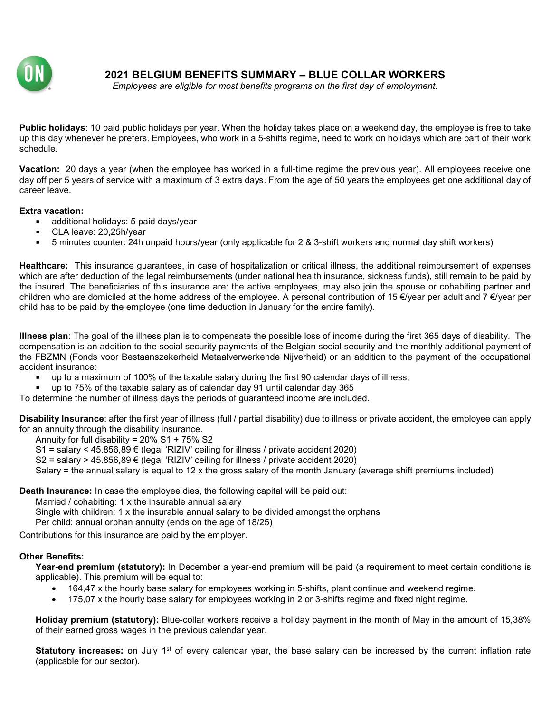

2021 BELGIUM BENEFITS SUMMARY – BLUE COLLAR WORKERS

Employees are eligible for most benefits programs on the first day of employment.

Public holidays: 10 paid public holidays per year. When the holiday takes place on a weekend day, the employee is free to take up this day whenever he prefers. Employees, who work in a 5-shifts regime, need to work on holidays which are part of their work schedule.

Vacation: 20 days a year (when the employee has worked in a full-time regime the previous year). All employees receive one day off per 5 years of service with a maximum of 3 extra days. From the age of 50 years the employees get one additional day of career leave.

## Extra vacation:

- **additional holidays: 5 paid days/year**
- CLA leave: 20,25h/year
- 5 minutes counter: 24h unpaid hours/year (only applicable for 2 & 3-shift workers and normal day shift workers)

Healthcare: This insurance guarantees, in case of hospitalization or critical illness, the additional reimbursement of expenses which are after deduction of the legal reimbursements (under national health insurance, sickness funds), still remain to be paid by the insured. The beneficiaries of this insurance are: the active employees, may also join the spouse or cohabiting partner and children who are domiciled at the home address of the employee. A personal contribution of 15 €/year per adult and 7 €/year per child has to be paid by the employee (one time deduction in January for the entire family).

Illness plan: The goal of the illness plan is to compensate the possible loss of income during the first 365 days of disability. The compensation is an addition to the social security payments of the Belgian social security and the monthly additional payment of the FBZMN (Fonds voor Bestaanszekerheid Metaalverwerkende Nijverheid) or an addition to the payment of the occupational accident insurance:

- up to a maximum of 100% of the taxable salary during the first 90 calendar days of illness,
- up to 75% of the taxable salary as of calendar day 91 until calendar day 365

To determine the number of illness days the periods of guaranteed income are included.

Disability Insurance: after the first year of illness (full / partial disability) due to illness or private accident, the employee can apply for an annuity through the disability insurance.

Annuity for full disability = 20% S1 + 75% S2

S1 = salary < 45.856,89 € (legal 'RIZIV' ceiling for illness / private accident 2020)

S2 = salary > 45.856,89  $\epsilon$  (legal 'RIZIV' ceiling for illness / private accident 2020)

Salary = the annual salary is equal to 12 x the gross salary of the month January (average shift premiums included)

Death Insurance: In case the employee dies, the following capital will be paid out:

Married / cohabiting: 1 x the insurable annual salary

Single with children: 1 x the insurable annual salary to be divided amongst the orphans

Per child: annual orphan annuity (ends on the age of 18/25)

Contributions for this insurance are paid by the employer.

## Other Benefits:

Year-end premium (statutory): In December a year-end premium will be paid (a requirement to meet certain conditions is applicable). This premium will be equal to:

- 164,47 x the hourly base salary for employees working in 5-shifts, plant continue and weekend regime.
- 175,07 x the hourly base salary for employees working in 2 or 3-shifts regime and fixed night regime.

Holiday premium (statutory): Blue-collar workers receive a holiday payment in the month of May in the amount of 15,38% of their earned gross wages in the previous calendar year.

Statutory increases: on July 1<sup>st</sup> of every calendar year, the base salary can be increased by the current inflation rate (applicable for our sector).